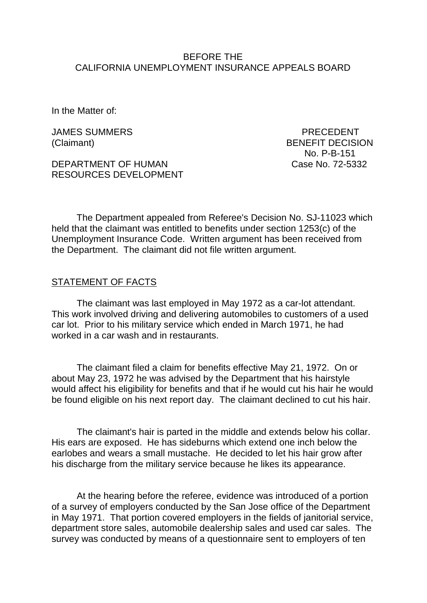#### BEFORE THE CALIFORNIA UNEMPLOYMENT INSURANCE APPEALS BOARD

In the Matter of:

JAMES SUMMERS **EXECUTE A SUMMERS** PRECEDENT

DEPARTMENT OF HUMAN Case No. 72-5332 RESOURCES DEVELOPMENT

(Claimant) BENEFIT DECISION No. P-B-151

The Department appealed from Referee's Decision No. SJ-11023 which held that the claimant was entitled to benefits under section 1253(c) of the Unemployment Insurance Code. Written argument has been received from the Department. The claimant did not file written argument.

### STATEMENT OF FACTS

The claimant was last employed in May 1972 as a car-lot attendant. This work involved driving and delivering automobiles to customers of a used car lot. Prior to his military service which ended in March 1971, he had worked in a car wash and in restaurants.

The claimant filed a claim for benefits effective May 21, 1972. On or about May 23, 1972 he was advised by the Department that his hairstyle would affect his eligibility for benefits and that if he would cut his hair he would be found eligible on his next report day. The claimant declined to cut his hair.

The claimant's hair is parted in the middle and extends below his collar. His ears are exposed. He has sideburns which extend one inch below the earlobes and wears a small mustache. He decided to let his hair grow after his discharge from the military service because he likes its appearance.

At the hearing before the referee, evidence was introduced of a portion of a survey of employers conducted by the San Jose office of the Department in May 1971. That portion covered employers in the fields of janitorial service, department store sales, automobile dealership sales and used car sales. The survey was conducted by means of a questionnaire sent to employers of ten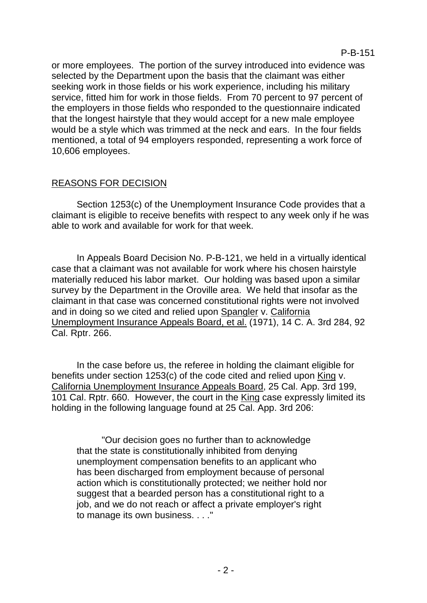or more employees. The portion of the survey introduced into evidence was selected by the Department upon the basis that the claimant was either seeking work in those fields or his work experience, including his military service, fitted him for work in those fields. From 70 percent to 97 percent of the employers in those fields who responded to the questionnaire indicated that the longest hairstyle that they would accept for a new male employee would be a style which was trimmed at the neck and ears. In the four fields mentioned, a total of 94 employers responded, representing a work force of 10,606 employees.

# REASONS FOR DECISION

Section 1253(c) of the Unemployment Insurance Code provides that a claimant is eligible to receive benefits with respect to any week only if he was able to work and available for work for that week.

In Appeals Board Decision No. P-B-121, we held in a virtually identical case that a claimant was not available for work where his chosen hairstyle materially reduced his labor market. Our holding was based upon a similar survey by the Department in the Oroville area. We held that insofar as the claimant in that case was concerned constitutional rights were not involved and in doing so we cited and relied upon Spangler v. California Unemployment Insurance Appeals Board, et al. (1971), 14 C. A. 3rd 284, 92 Cal. Rptr. 266.

In the case before us, the referee in holding the claimant eligible for benefits under section 1253(c) of the code cited and relied upon King v. California Unemployment Insurance Appeals Board, 25 Cal. App. 3rd 199, 101 Cal. Rptr. 660. However, the court in the King case expressly limited its holding in the following language found at 25 Cal. App. 3rd 206:

"Our decision goes no further than to acknowledge that the state is constitutionally inhibited from denying unemployment compensation benefits to an applicant who has been discharged from employment because of personal action which is constitutionally protected; we neither hold nor suggest that a bearded person has a constitutional right to a job, and we do not reach or affect a private employer's right to manage its own business. . . ."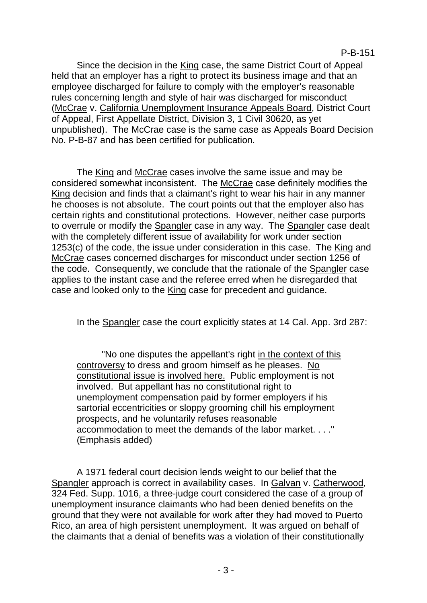P-B-151

Since the decision in the King case, the same District Court of Appeal held that an employer has a right to protect its business image and that an employee discharged for failure to comply with the employer's reasonable rules concerning length and style of hair was discharged for misconduct (McCrae v. California Unemployment Insurance Appeals Board, District Court of Appeal, First Appellate District, Division 3, 1 Civil 30620, as yet unpublished). The McCrae case is the same case as Appeals Board Decision No. P-B-87 and has been certified for publication.

The King and McCrae cases involve the same issue and may be considered somewhat inconsistent. The McCrae case definitely modifies the King decision and finds that a claimant's right to wear his hair in any manner he chooses is not absolute. The court points out that the employer also has certain rights and constitutional protections. However, neither case purports to overrule or modify the Spangler case in any way. The Spangler case dealt with the completely different issue of availability for work under section 1253(c) of the code, the issue under consideration in this case. The King and McCrae cases concerned discharges for misconduct under section 1256 of the code. Consequently, we conclude that the rationale of the Spangler case applies to the instant case and the referee erred when he disregarded that case and looked only to the King case for precedent and guidance.

In the Spangler case the court explicitly states at 14 Cal. App. 3rd 287:

"No one disputes the appellant's right in the context of this controversy to dress and groom himself as he pleases. No constitutional issue is involved here. Public employment is not involved. But appellant has no constitutional right to unemployment compensation paid by former employers if his sartorial eccentricities or sloppy grooming chill his employment prospects, and he voluntarily refuses reasonable accommodation to meet the demands of the labor market. . . ." (Emphasis added)

A 1971 federal court decision lends weight to our belief that the Spangler approach is correct in availability cases. In Galvan v. Catherwood, 324 Fed. Supp. 1016, a three-judge court considered the case of a group of unemployment insurance claimants who had been denied benefits on the ground that they were not available for work after they had moved to Puerto Rico, an area of high persistent unemployment. It was argued on behalf of the claimants that a denial of benefits was a violation of their constitutionally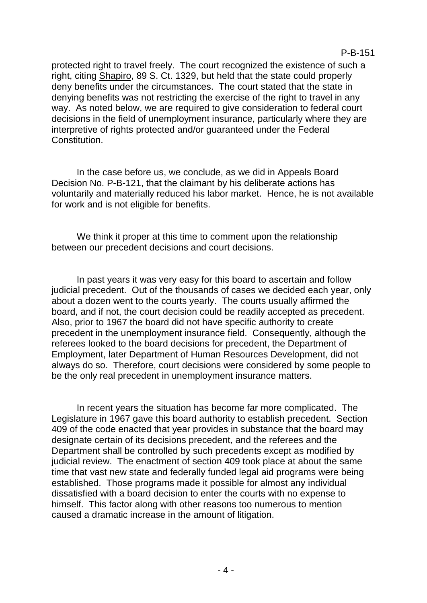protected right to travel freely. The court recognized the existence of such a right, citing Shapiro, 89 S. Ct. 1329, but held that the state could properly deny benefits under the circumstances. The court stated that the state in denying benefits was not restricting the exercise of the right to travel in any way. As noted below, we are required to give consideration to federal court decisions in the field of unemployment insurance, particularly where they are interpretive of rights protected and/or guaranteed under the Federal Constitution.

In the case before us, we conclude, as we did in Appeals Board Decision No. P-B-121, that the claimant by his deliberate actions has voluntarily and materially reduced his labor market. Hence, he is not available for work and is not eligible for benefits.

We think it proper at this time to comment upon the relationship between our precedent decisions and court decisions.

In past years it was very easy for this board to ascertain and follow judicial precedent. Out of the thousands of cases we decided each year, only about a dozen went to the courts yearly. The courts usually affirmed the board, and if not, the court decision could be readily accepted as precedent. Also, prior to 1967 the board did not have specific authority to create precedent in the unemployment insurance field. Consequently, although the referees looked to the board decisions for precedent, the Department of Employment, later Department of Human Resources Development, did not always do so. Therefore, court decisions were considered by some people to be the only real precedent in unemployment insurance matters.

In recent years the situation has become far more complicated. The Legislature in 1967 gave this board authority to establish precedent. Section 409 of the code enacted that year provides in substance that the board may designate certain of its decisions precedent, and the referees and the Department shall be controlled by such precedents except as modified by judicial review. The enactment of section 409 took place at about the same time that vast new state and federally funded legal aid programs were being established. Those programs made it possible for almost any individual dissatisfied with a board decision to enter the courts with no expense to himself. This factor along with other reasons too numerous to mention caused a dramatic increase in the amount of litigation.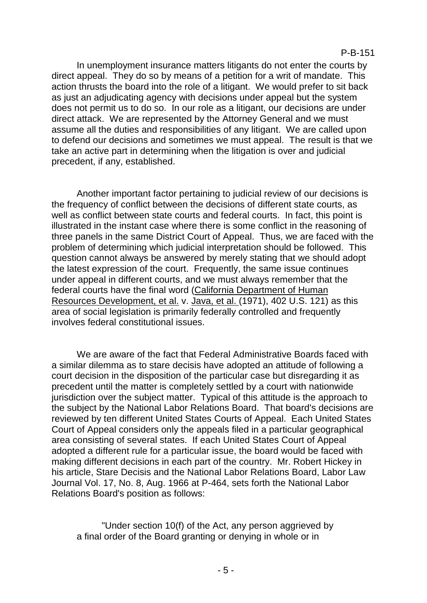In unemployment insurance matters litigants do not enter the courts by direct appeal. They do so by means of a petition for a writ of mandate. This action thrusts the board into the role of a litigant. We would prefer to sit back as just an adjudicating agency with decisions under appeal but the system does not permit us to do so. In our role as a litigant, our decisions are under direct attack. We are represented by the Attorney General and we must assume all the duties and responsibilities of any litigant. We are called upon to defend our decisions and sometimes we must appeal. The result is that we take an active part in determining when the litigation is over and judicial precedent, if any, established.

Another important factor pertaining to judicial review of our decisions is the frequency of conflict between the decisions of different state courts, as well as conflict between state courts and federal courts. In fact, this point is illustrated in the instant case where there is some conflict in the reasoning of three panels in the same District Court of Appeal. Thus, we are faced with the problem of determining which judicial interpretation should be followed. This question cannot always be answered by merely stating that we should adopt the latest expression of the court. Frequently, the same issue continues under appeal in different courts, and we must always remember that the federal courts have the final word (California Department of Human Resources Development, et al. v. Java, et al. (1971), 402 U.S. 121) as this area of social legislation is primarily federally controlled and frequently involves federal constitutional issues.

We are aware of the fact that Federal Administrative Boards faced with a similar dilemma as to stare decisis have adopted an attitude of following a court decision in the disposition of the particular case but disregarding it as precedent until the matter is completely settled by a court with nationwide jurisdiction over the subject matter. Typical of this attitude is the approach to the subject by the National Labor Relations Board. That board's decisions are reviewed by ten different United States Courts of Appeal. Each United States Court of Appeal considers only the appeals filed in a particular geographical area consisting of several states. If each United States Court of Appeal adopted a different rule for a particular issue, the board would be faced with making different decisions in each part of the country. Mr. Robert Hickey in his article, Stare Decisis and the National Labor Relations Board, Labor Law Journal Vol. 17, No. 8, Aug. 1966 at P-464, sets forth the National Labor Relations Board's position as follows:

"Under section 10(f) of the Act, any person aggrieved by a final order of the Board granting or denying in whole or in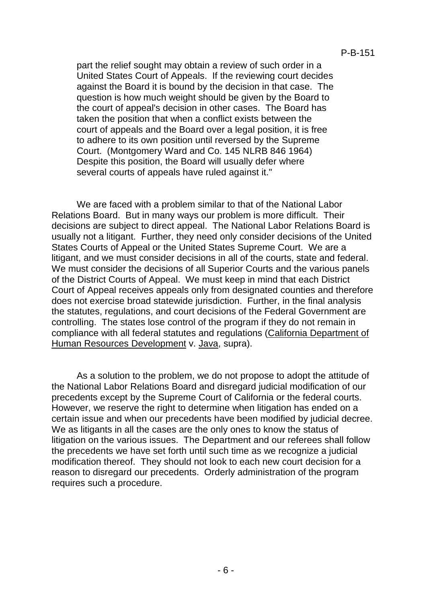part the relief sought may obtain a review of such order in a United States Court of Appeals. If the reviewing court decides against the Board it is bound by the decision in that case. The question is how much weight should be given by the Board to the court of appeal's decision in other cases. The Board has taken the position that when a conflict exists between the court of appeals and the Board over a legal position, it is free to adhere to its own position until reversed by the Supreme Court. (Montgomery Ward and Co. 145 NLRB 846 1964) Despite this position, the Board will usually defer where several courts of appeals have ruled against it."

We are faced with a problem similar to that of the National Labor Relations Board. But in many ways our problem is more difficult. Their decisions are subject to direct appeal. The National Labor Relations Board is usually not a litigant. Further, they need only consider decisions of the United States Courts of Appeal or the United States Supreme Court. We are a litigant, and we must consider decisions in all of the courts, state and federal. We must consider the decisions of all Superior Courts and the various panels of the District Courts of Appeal. We must keep in mind that each District Court of Appeal receives appeals only from designated counties and therefore does not exercise broad statewide jurisdiction. Further, in the final analysis the statutes, regulations, and court decisions of the Federal Government are controlling. The states lose control of the program if they do not remain in compliance with all federal statutes and regulations (California Department of Human Resources Development v. Java, supra).

As a solution to the problem, we do not propose to adopt the attitude of the National Labor Relations Board and disregard judicial modification of our precedents except by the Supreme Court of California or the federal courts. However, we reserve the right to determine when litigation has ended on a certain issue and when our precedents have been modified by judicial decree. We as litigants in all the cases are the only ones to know the status of litigation on the various issues. The Department and our referees shall follow the precedents we have set forth until such time as we recognize a judicial modification thereof. They should not look to each new court decision for a reason to disregard our precedents. Orderly administration of the program requires such a procedure.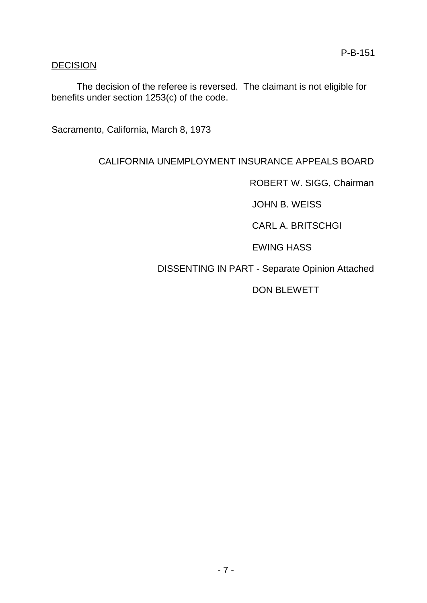# **DECISION**

The decision of the referee is reversed. The claimant is not eligible for benefits under section 1253(c) of the code.

Sacramento, California, March 8, 1973

# CALIFORNIA UNEMPLOYMENT INSURANCE APPEALS BOARD

ROBERT W. SIGG, Chairman

JOHN B. WEISS

CARL A. BRITSCHGI

EWING HASS

DISSENTING IN PART - Separate Opinion Attached

DON BLEWETT